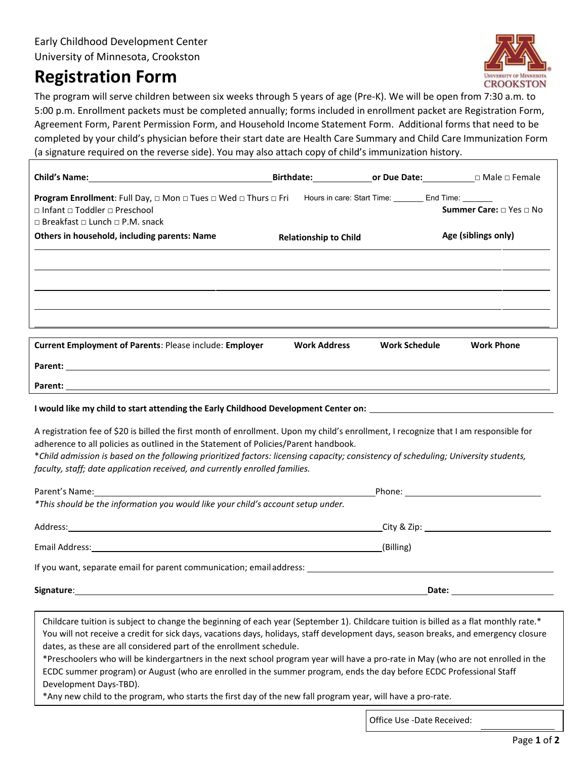## **Registration Form**



The program will serve children between six weeks through 5 years of age (Pre-K). We will be open from 7:30 a.m. to 5:00 p.m. Enrollment packets must be completed annually; forms included in enrollment packet are Registration Form, Agreement Form, Parent Permission Form, and Household Income Statement Form. Additional forms that need to be completed by your child's physician before their start date are Health Care Summary and Child Care Immunization Form (a signature required on the reverse side). You may also attach copy of child's immunization history.

|                                                                                                                                                                                                                              |                              |                      | <b>Birthdate: Comparent Contract Contract Contract Contract Contract Contract Contract Contract Contract Contract Contract Contract Contract Contract Contract Contract Contract Contract Contract Contract Contract Contract</b> |
|------------------------------------------------------------------------------------------------------------------------------------------------------------------------------------------------------------------------------|------------------------------|----------------------|-----------------------------------------------------------------------------------------------------------------------------------------------------------------------------------------------------------------------------------|
| <b>Program Enrollment:</b> Full Day, □ Mon □ Tues □ Wed □ Thurs □ Fri Hours in care: Start Time: ______ End Time: ______<br>$\Box$ Infant $\Box$ Toddler $\Box$ Preschool<br>$\Box$ Breakfast $\Box$ Lunch $\Box$ P.M. snack |                              |                      | <b>Summer Care:</b> □ Yes □ No                                                                                                                                                                                                    |
| Others in household, including parents: Name                                                                                                                                                                                 | <b>Relationship to Child</b> |                      | Age (siblings only)                                                                                                                                                                                                               |
|                                                                                                                                                                                                                              |                              |                      |                                                                                                                                                                                                                                   |
|                                                                                                                                                                                                                              |                              |                      |                                                                                                                                                                                                                                   |
|                                                                                                                                                                                                                              |                              |                      |                                                                                                                                                                                                                                   |
|                                                                                                                                                                                                                              |                              |                      |                                                                                                                                                                                                                                   |
| <b>Current Employment of Parents: Please include: Employer</b>                                                                                                                                                               | <b>Work Address</b>          | <b>Work Schedule</b> | <b>Work Phone</b>                                                                                                                                                                                                                 |
|                                                                                                                                                                                                                              |                              |                      |                                                                                                                                                                                                                                   |
| Parent:                                                                                                                                                                                                                      |                              |                      |                                                                                                                                                                                                                                   |

## **I would like my child to start attending the Early Childhood Development Center on:**

A registration fee of \$20 is billed the first month of enrollment. Upon my child's enrollment, I recognize that I am responsible for adherence to all policies as outlined in the Statement of Policies/Parent handbook.

\**Child admission is based on the following prioritized factors: licensing capacity; consistency of scheduling; University students, faculty, staff; date application received, and currently enrolled families.*

| Parent's Name: and the contract of the contract of the contract of the contract of the contract of the contract of the contract of the contract of the contract of the contract of the contract of the contract of the contrac |                                             |  |
|--------------------------------------------------------------------------------------------------------------------------------------------------------------------------------------------------------------------------------|---------------------------------------------|--|
| *This should be the information you would like your child's account setup under.                                                                                                                                               |                                             |  |
|                                                                                                                                                                                                                                | _City & Zip: ______________________________ |  |
|                                                                                                                                                                                                                                | (Billing)                                   |  |
| If you want, separate email for parent communication; email address: entries and all the separate emails of the                                                                                                                |                                             |  |
|                                                                                                                                                                                                                                | Date: <u>__________</u>                     |  |

Childcare tuition is subject to change the beginning of each year (September 1). Childcare tuition is billed as a flat monthly rate.\* You will not receive a credit for sick days, vacations days, holidays, staff development days, season breaks, and emergency closure dates, as these are all considered part of the enrollment schedule.

\*Preschoolers who will be kindergartners in the next school program year will have a pro-rate in May (who are not enrolled in the ECDC summer program) or August (who are enrolled in the summer program, ends the day before ECDC Professional Staff Development Days-TBD).

\*Any new child to the program, who starts the first day of the new fall program year, will have a pro-rate.

Office Use -Date Received: